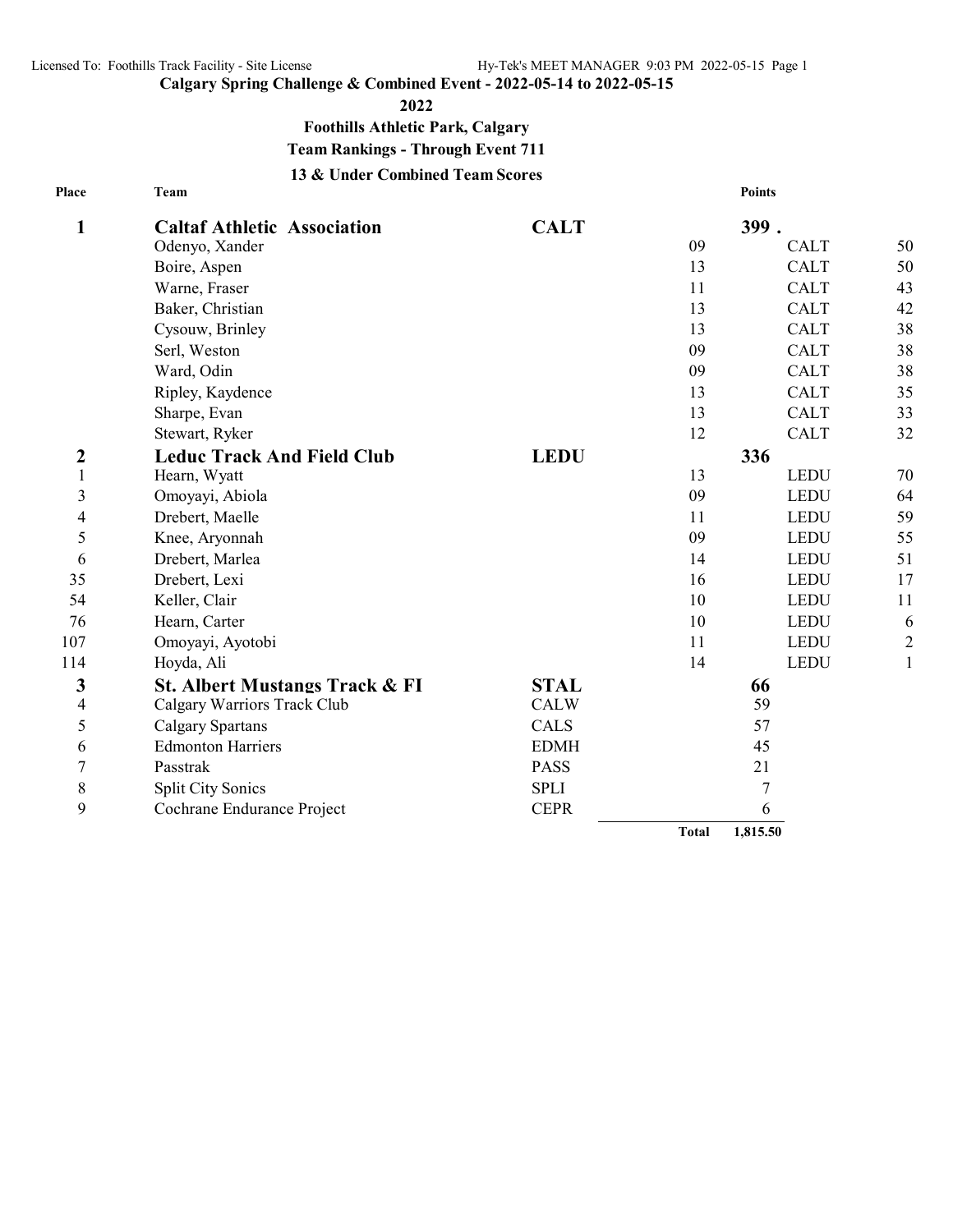**Place**

**Calgary Spring Challenge & Combined Event - 2022-05-14 to 2022-05-15**

**2022**

**Foothills Athletic Park, Calgary**

**Team Rankings - Through Event 711**

**13 & Under Combined Team Scores**

| Place            | Team                               |             | <b>Points</b> |             |              |  |
|------------------|------------------------------------|-------------|---------------|-------------|--------------|--|
| 1                | <b>Caltaf Athletic Association</b> | <b>CALT</b> | 399.          |             |              |  |
|                  | Odenyo, Xander                     |             | 09            | <b>CALT</b> | 50           |  |
|                  | Boire, Aspen                       |             | 13            | <b>CALT</b> | 50           |  |
|                  | Warne, Fraser                      |             | 11            | <b>CALT</b> | 43           |  |
|                  | Baker, Christian                   |             | 13            | <b>CALT</b> | 42           |  |
|                  | Cysouw, Brinley                    |             | 13            | <b>CALT</b> | 38           |  |
|                  | Serl, Weston                       |             | 09            | <b>CALT</b> | 38           |  |
|                  | Ward, Odin                         |             | 09            | <b>CALT</b> | 38           |  |
|                  | Ripley, Kaydence                   |             | 13            | <b>CALT</b> | 35           |  |
|                  | Sharpe, Evan                       |             | 13            | <b>CALT</b> | 33           |  |
|                  | Stewart, Ryker                     |             | 12            | <b>CALT</b> | 32           |  |
| $\boldsymbol{2}$ | <b>Leduc Track And Field Club</b>  | <b>LEDU</b> | 336           |             |              |  |
| $\mathbf{1}$     | Hearn, Wyatt                       |             | 13            | <b>LEDU</b> | 70           |  |
| 3                | Omoyayi, Abiola                    |             | 09            | <b>LEDU</b> | 64           |  |
| 4                | Drebert, Maelle                    |             | 11            | <b>LEDU</b> | 59           |  |
| 5                | Knee, Aryonnah                     |             | 09            | <b>LEDU</b> | 55           |  |
| 6                | Drebert, Marlea                    |             | 14            | <b>LEDU</b> | 51           |  |
| 35               | Drebert, Lexi                      |             | 16            | <b>LEDU</b> | 17           |  |
| 54               | Keller, Clair                      |             | 10            | <b>LEDU</b> | 11           |  |
| 76               | Hearn, Carter                      |             | 10            | <b>LEDU</b> | 6            |  |
| 107              | Omoyayi, Ayotobi                   |             | 11            | <b>LEDU</b> | $\sqrt{2}$   |  |
| 114              | Hoyda, Ali                         |             | 14            | <b>LEDU</b> | $\mathbf{1}$ |  |
| 3                | St. Albert Mustangs Track & FI     | <b>STAL</b> | 66            |             |              |  |
| 4                | Calgary Warriors Track Club        | <b>CALW</b> | 59            |             |              |  |
| 5                | <b>Calgary Spartans</b>            | CALS        | 57            |             |              |  |
| 6                | <b>Edmonton Harriers</b>           | <b>EDMH</b> | 45            |             |              |  |
| 7                | Passtrak                           | <b>PASS</b> | 21            |             |              |  |
| 8                | <b>Split City Sonics</b>           | <b>SPLI</b> | 7             |             |              |  |
| 9                | Cochrane Endurance Project         | <b>CEPR</b> | 6             |             |              |  |
|                  |                                    |             | <b>Total</b>  | 1,815.50    |              |  |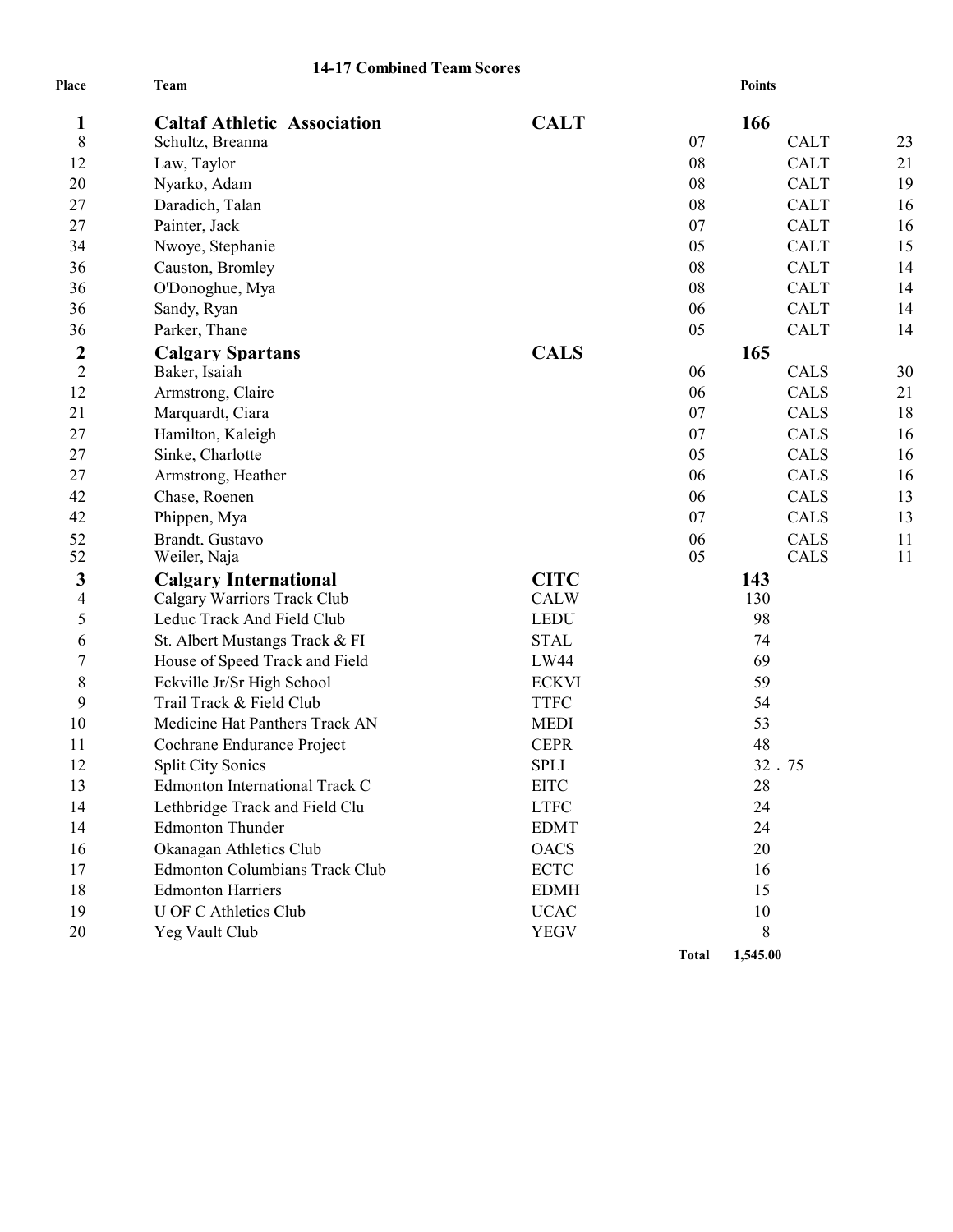## **14-17 Combined Team Scores**

| Place            | Team                                  | <b>Points</b> |              |             |    |
|------------------|---------------------------------------|---------------|--------------|-------------|----|
| 1                | <b>Caltaf Athletic Association</b>    | <b>CALT</b>   |              | 166         |    |
| 8                | Schultz, Breanna                      |               | 07           | <b>CALT</b> | 23 |
| 12               | Law, Taylor                           |               | 08           | <b>CALT</b> | 21 |
| 20               | Nyarko, Adam                          |               | 08           | <b>CALT</b> | 19 |
| 27               | Daradich, Talan                       |               | 08           | <b>CALT</b> | 16 |
| 27               | Painter, Jack                         |               | 07           | <b>CALT</b> | 16 |
| 34               | Nwoye, Stephanie                      |               | 05           | <b>CALT</b> | 15 |
| 36               | Causton, Bromley                      |               | 08           | <b>CALT</b> | 14 |
| 36               | O'Donoghue, Mya                       |               | 08           | <b>CALT</b> | 14 |
| 36               | Sandy, Ryan                           |               | 06           | <b>CALT</b> | 14 |
| 36               | Parker, Thane                         |               | 05           | <b>CALT</b> | 14 |
| $\boldsymbol{2}$ | <b>Calgary Spartans</b>               | <b>CALS</b>   |              | 165         |    |
| $\overline{2}$   | Baker, Isaiah                         |               | 06           | CALS        | 30 |
| 12               | Armstrong, Claire                     |               | 06           | CALS        | 21 |
| 21               | Marquardt, Ciara                      |               | 07           | <b>CALS</b> | 18 |
| 27               | Hamilton, Kaleigh                     |               | 07           | <b>CALS</b> | 16 |
| 27               | Sinke, Charlotte                      |               | 05           | <b>CALS</b> | 16 |
| 27               | Armstrong, Heather                    |               | 06           | <b>CALS</b> | 16 |
| 42               | Chase, Roenen                         |               | 06           | <b>CALS</b> | 13 |
| 42               | Phippen, Mya                          |               | 07           | <b>CALS</b> | 13 |
| 52               | Brandt, Gustavo                       |               | 06           | <b>CALS</b> | 11 |
| 52               | Weiler, Naja                          |               | 05           | <b>CALS</b> | 11 |
| 3                | <b>Calgary International</b>          | <b>CITC</b>   | 143          |             |    |
| $\overline{4}$   | Calgary Warriors Track Club           | <b>CALW</b>   | 130          |             |    |
| 5                | Leduc Track And Field Club            | <b>LEDU</b>   | 98           |             |    |
| 6                | St. Albert Mustangs Track & FI        | <b>STAL</b>   | 74           |             |    |
| 7                | House of Speed Track and Field        | LW44          | 69           |             |    |
| 8                | Eckville Jr/Sr High School            | <b>ECKVI</b>  | 59           |             |    |
| 9                | Trail Track & Field Club              | <b>TTFC</b>   | 54           |             |    |
| 10               | Medicine Hat Panthers Track AN        | <b>MEDI</b>   | 53           |             |    |
| 11               | Cochrane Endurance Project            | <b>CEPR</b>   | 48           |             |    |
| 12               | <b>Split City Sonics</b>              | <b>SPLI</b>   | 32.75        |             |    |
| 13               | Edmonton International Track C        | <b>EITC</b>   | 28           |             |    |
| 14               | Lethbridge Track and Field Clu        | <b>LTFC</b>   | 24           |             |    |
| 14               | <b>Edmonton Thunder</b>               | <b>EDMT</b>   | 24           |             |    |
| 16               | Okanagan Athletics Club               | <b>OACS</b>   | 20           |             |    |
| 17               | <b>Edmonton Columbians Track Club</b> | <b>ECTC</b>   | 16           |             |    |
| 18               | <b>Edmonton Harriers</b>              | <b>EDMH</b>   | 15           |             |    |
| 19               | <b>U OF C Athletics Club</b>          | <b>UCAC</b>   |              | 10          |    |
| 20               | Yeg Vault Club                        | <b>YEGV</b>   |              | 8           |    |
|                  |                                       |               | <b>Total</b> | 1,545.00    |    |